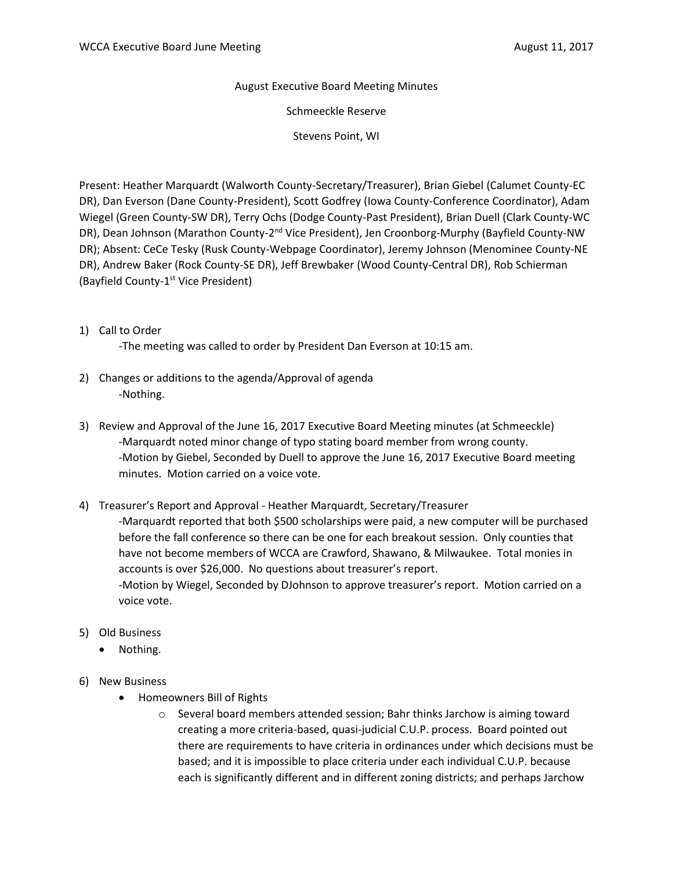August Executive Board Meeting Minutes

Schmeeckle Reserve

Stevens Point, WI

Present: Heather Marquardt (Walworth County-Secretary/Treasurer), Brian Giebel (Calumet County-EC DR), Dan Everson (Dane County-President), Scott Godfrey (Iowa County-Conference Coordinator), Adam Wiegel (Green County-SW DR), Terry Ochs (Dodge County-Past President), Brian Duell (Clark County-WC DR), Dean Johnson (Marathon County-2<sup>nd</sup> Vice President), Jen Croonborg-Murphy (Bayfield County-NW DR); Absent: CeCe Tesky (Rusk County-Webpage Coordinator), Jeremy Johnson (Menominee County-NE DR), Andrew Baker (Rock County-SE DR), Jeff Brewbaker (Wood County-Central DR), Rob Schierman (Bayfield County-1<sup>st</sup> Vice President)

1) Call to Order

-The meeting was called to order by President Dan Everson at 10:15 am.

- 2) Changes or additions to the agenda/Approval of agenda -Nothing.
- 3) Review and Approval of the June 16, 2017 Executive Board Meeting minutes (at Schmeeckle) -Marquardt noted minor change of typo stating board member from wrong county. -Motion by Giebel, Seconded by Duell to approve the June 16, 2017 Executive Board meeting minutes. Motion carried on a voice vote.
- 4) Treasurer's Report and Approval Heather Marquardt, Secretary/Treasurer -Marquardt reported that both \$500 scholarships were paid, a new computer will be purchased before the fall conference so there can be one for each breakout session. Only counties that have not become members of WCCA are Crawford, Shawano, & Milwaukee. Total monies in accounts is over \$26,000. No questions about treasurer's report. -Motion by Wiegel, Seconded by DJohnson to approve treasurer's report. Motion carried on a voice vote.
- 5) Old Business
	- Nothing.
- 6) New Business
	- Homeowners Bill of Rights
		- $\circ$  Several board members attended session; Bahr thinks Jarchow is aiming toward creating a more criteria-based, quasi-judicial C.U.P. process. Board pointed out there are requirements to have criteria in ordinances under which decisions must be based; and it is impossible to place criteria under each individual C.U.P. because each is significantly different and in different zoning districts; and perhaps Jarchow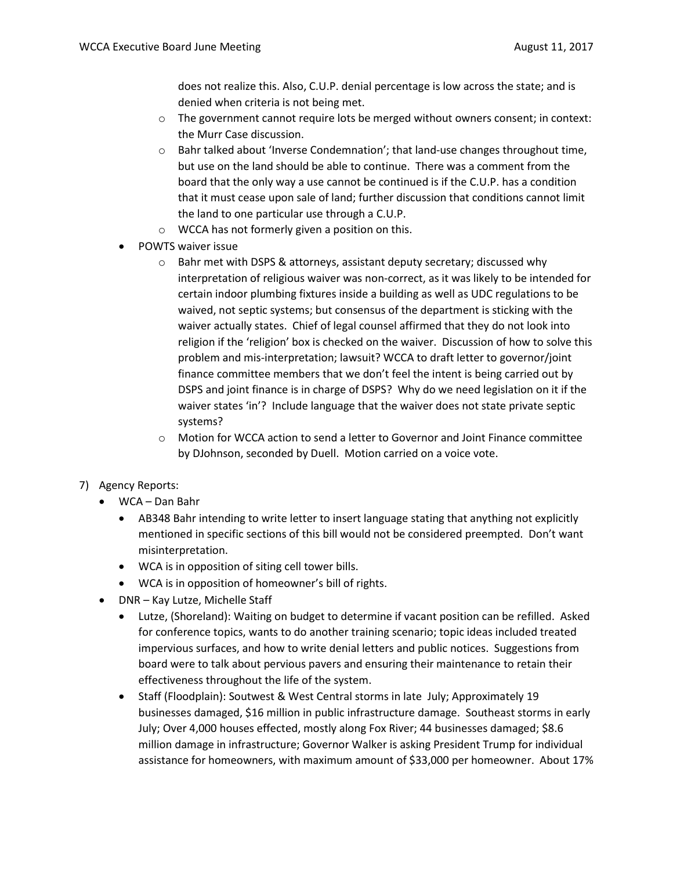does not realize this. Also, C.U.P. denial percentage is low across the state; and is denied when criteria is not being met.

- o The government cannot require lots be merged without owners consent; in context: the Murr Case discussion.
- $\circ$  Bahr talked about 'Inverse Condemnation'; that land-use changes throughout time, but use on the land should be able to continue. There was a comment from the board that the only way a use cannot be continued is if the C.U.P. has a condition that it must cease upon sale of land; further discussion that conditions cannot limit the land to one particular use through a C.U.P.
- o WCCA has not formerly given a position on this.
- POWTS waiver issue
	- $\circ$  Bahr met with DSPS & attorneys, assistant deputy secretary; discussed why interpretation of religious waiver was non-correct, as it was likely to be intended for certain indoor plumbing fixtures inside a building as well as UDC regulations to be waived, not septic systems; but consensus of the department is sticking with the waiver actually states. Chief of legal counsel affirmed that they do not look into religion if the 'religion' box is checked on the waiver. Discussion of how to solve this problem and mis-interpretation; lawsuit? WCCA to draft letter to governor/joint finance committee members that we don't feel the intent is being carried out by DSPS and joint finance is in charge of DSPS? Why do we need legislation on it if the waiver states 'in'? Include language that the waiver does not state private septic systems?
	- $\circ$  Motion for WCCA action to send a letter to Governor and Joint Finance committee by DJohnson, seconded by Duell. Motion carried on a voice vote.

## 7) Agency Reports:

- WCA Dan Bahr
	- AB348 Bahr intending to write letter to insert language stating that anything not explicitly mentioned in specific sections of this bill would not be considered preempted. Don't want misinterpretation.
	- WCA is in opposition of siting cell tower bills.
	- WCA is in opposition of homeowner's bill of rights.
- DNR Kay Lutze, Michelle Staff
	- Lutze, (Shoreland): Waiting on budget to determine if vacant position can be refilled. Asked for conference topics, wants to do another training scenario; topic ideas included treated impervious surfaces, and how to write denial letters and public notices. Suggestions from board were to talk about pervious pavers and ensuring their maintenance to retain their effectiveness throughout the life of the system.
	- Staff (Floodplain): Soutwest & West Central storms in late July; Approximately 19 businesses damaged, \$16 million in public infrastructure damage. Southeast storms in early July; Over 4,000 houses effected, mostly along Fox River; 44 businesses damaged; \$8.6 million damage in infrastructure; Governor Walker is asking President Trump for individual assistance for homeowners, with maximum amount of \$33,000 per homeowner. About 17%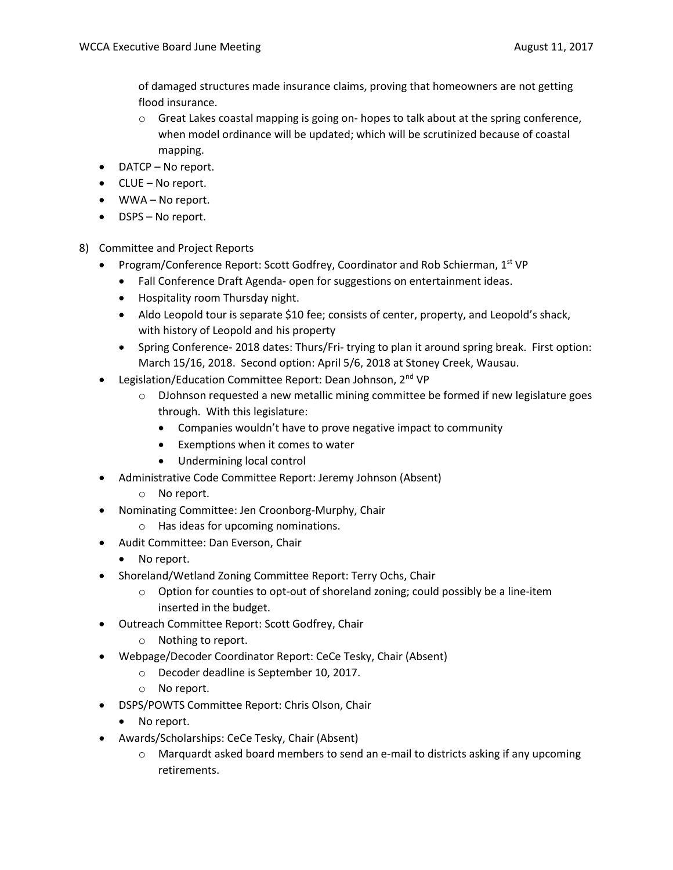of damaged structures made insurance claims, proving that homeowners are not getting flood insurance.

- $\circ$  Great Lakes coastal mapping is going on- hopes to talk about at the spring conference, when model ordinance will be updated; which will be scrutinized because of coastal mapping.
- DATCP No report.
- CLUE No report.
- WWA No report.
- DSPS No report.
- 8) Committee and Project Reports
	- Program/Conference Report: Scott Godfrey, Coordinator and Rob Schierman, 1st VP
		- Fall Conference Draft Agenda- open for suggestions on entertainment ideas.
		- Hospitality room Thursday night.
		- Aldo Leopold tour is separate \$10 fee; consists of center, property, and Leopold's shack, with history of Leopold and his property
		- Spring Conference- 2018 dates: Thurs/Fri- trying to plan it around spring break. First option: March 15/16, 2018. Second option: April 5/6, 2018 at Stoney Creek, Wausau.
	- Legislation/Education Committee Report: Dean Johnson, 2<sup>nd</sup> VP
		- o DJohnson requested a new metallic mining committee be formed if new legislature goes through. With this legislature:
			- Companies wouldn't have to prove negative impact to community
			- Exemptions when it comes to water
			- Undermining local control
	- Administrative Code Committee Report: Jeremy Johnson (Absent)
		- o No report.
	- Nominating Committee: Jen Croonborg-Murphy, Chair
		- o Has ideas for upcoming nominations.
	- Audit Committee: Dan Everson, Chair
		- No report.
	- Shoreland/Wetland Zoning Committee Report: Terry Ochs, Chair
		- $\circ$  Option for counties to opt-out of shoreland zoning; could possibly be a line-item inserted in the budget.
	- Outreach Committee Report: Scott Godfrey, Chair
		- o Nothing to report.
	- Webpage/Decoder Coordinator Report: CeCe Tesky, Chair (Absent)
		- o Decoder deadline is September 10, 2017.
		- o No report.
	- DSPS/POWTS Committee Report: Chris Olson, Chair
		- No report.
	- Awards/Scholarships: CeCe Tesky, Chair (Absent)
		- $\circ$  Marquardt asked board members to send an e-mail to districts asking if any upcoming retirements.